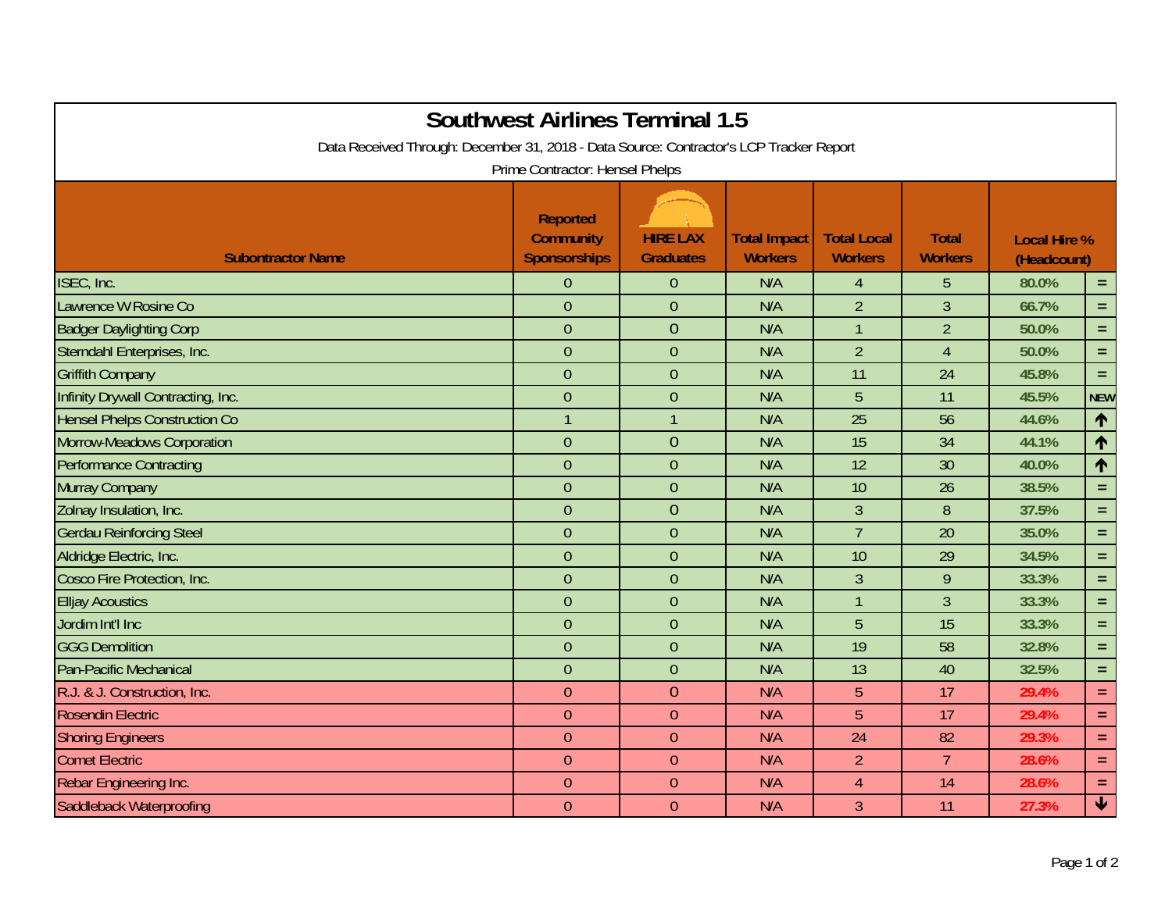| <b>Southwest Airlines Terminal 1.5</b><br>Data Received Through: December 31, 2018 - Data Source: Contractor's LCP Tracker Report<br>Prime Contractor: Hensel Phelps |                                                            |                                     |                                       |                                      |                                |                                    |                 |  |  |  |  |
|----------------------------------------------------------------------------------------------------------------------------------------------------------------------|------------------------------------------------------------|-------------------------------------|---------------------------------------|--------------------------------------|--------------------------------|------------------------------------|-----------------|--|--|--|--|
| <b>Subontractor Name</b>                                                                                                                                             | <b>Reported</b><br><b>Community</b><br><b>Sponsorships</b> | <b>HIRE LAX</b><br><b>Graduates</b> | <b>Total Impact</b><br><b>Workers</b> | <b>Total Local</b><br><b>Workers</b> | <b>Total</b><br><b>Workers</b> | <b>Local Hire %</b><br>(Headcount) |                 |  |  |  |  |
| ISEC, Inc.                                                                                                                                                           | $\overline{0}$                                             | $\theta$                            | N/A                                   | $\overline{4}$                       | 5                              | 80.0%                              | $=$ .           |  |  |  |  |
| Lawrence W Rosine Co                                                                                                                                                 | $\overline{0}$                                             | $\overline{0}$                      | N/A                                   | $\overline{2}$                       | $\overline{3}$                 | 66.7%                              | $=$ .           |  |  |  |  |
| <b>Badger Daylighting Corp</b>                                                                                                                                       | $\overline{0}$                                             | $\overline{0}$                      | N/A                                   | $\overline{1}$                       | $\overline{2}$                 | 50.0%                              | $\equiv$        |  |  |  |  |
| Sterndahl Enterprises, Inc.                                                                                                                                          | $\overline{0}$                                             | $\overline{0}$                      | N/A                                   | $\overline{2}$                       | 4                              | 50.0%                              | $=$ .           |  |  |  |  |
| <b>Griffith Company</b>                                                                                                                                              | $\overline{0}$                                             | $\theta$                            | N/A                                   | 11                                   | 24                             | 45.8%                              | $\equiv$        |  |  |  |  |
| Infinity Drywall Contracting, Inc.                                                                                                                                   | $\overline{0}$                                             | $\overline{0}$                      | N/A                                   | 5                                    | 11                             | 45.5%                              | <b>NEW</b>      |  |  |  |  |
| <b>Hensel Phelps Construction Co</b>                                                                                                                                 | $\mathbf{1}$                                               | 1                                   | N/A                                   | 25                                   | 56                             | 44.6%                              | 个               |  |  |  |  |
| Morrow-Meadows Corporation                                                                                                                                           | $\overline{0}$                                             | $\overline{0}$                      | N/A                                   | 15                                   | 34                             | 44.1%                              | $\uparrow$      |  |  |  |  |
| <b>Performance Contracting</b>                                                                                                                                       | $\overline{0}$                                             | $\overline{0}$                      | N/A                                   | 12                                   | 30                             | 40.0%                              | 个               |  |  |  |  |
| Murray Company                                                                                                                                                       | $\overline{0}$                                             | $\overline{0}$                      | N/A                                   | 10                                   | 26                             | 38.5%                              | $=$ .           |  |  |  |  |
| Zolnay Insulation, Inc.                                                                                                                                              | $\boldsymbol{0}$                                           | $\overline{0}$                      | N/A                                   | $\mathfrak{Z}$                       | 8                              | 37.5%                              | $\equiv$        |  |  |  |  |
| <b>Gerdau Reinforcing Steel</b>                                                                                                                                      | $\overline{0}$                                             | $\overline{0}$                      | N/A                                   | $\overline{7}$                       | 20                             | 35.0%                              | $\equiv$        |  |  |  |  |
| Aldridge Electric, Inc.                                                                                                                                              | $\overline{0}$                                             | $\overline{0}$                      | N/A                                   | 10                                   | 29                             | 34.5%                              | $\equiv$        |  |  |  |  |
| Cosco Fire Protection, Inc.                                                                                                                                          | $\overline{0}$                                             | $\overline{0}$                      | N/A                                   | $\overline{3}$                       | 9                              | 33.3%                              | $\equiv$ .      |  |  |  |  |
| <b>Elljay Acoustics</b>                                                                                                                                              | $\overline{0}$                                             | $\overline{0}$                      | N/A                                   | $\mathbf{1}$                         | $\overline{3}$                 | 33.3%                              | $=$ .           |  |  |  |  |
| Jordim Int'l Inc                                                                                                                                                     | $\overline{0}$                                             | $\mathbf{0}$                        | N/A                                   | 5                                    | 15                             | 33.3%                              | $\equiv$ .      |  |  |  |  |
| <b>GGG Demolition</b>                                                                                                                                                | $\overline{0}$                                             | $\overline{0}$                      | N/A                                   | 19                                   | 58                             | 32.8%                              | $\equiv$        |  |  |  |  |
| Pan-Pacific Mechanical                                                                                                                                               | $\overline{0}$                                             | $\overline{0}$                      | N/A                                   | 13                                   | 40                             | 32.5%                              | $\equiv$        |  |  |  |  |
| R.J. & J. Construction, Inc.                                                                                                                                         | $\overline{0}$                                             | $\overline{0}$                      | N/A                                   | 5                                    | 17                             | 29.4%                              | $\equiv$ .      |  |  |  |  |
| <b>Rosendin Electric</b>                                                                                                                                             | $\theta$                                                   | $\theta$                            | N/A                                   | 5                                    | 17                             | 29.4%                              | $\equiv$        |  |  |  |  |
| <b>Shoring Engineers</b>                                                                                                                                             | $\overline{0}$                                             | $\overline{0}$                      | N/A                                   | 24                                   | 82                             | 29.3%                              | $\equiv$        |  |  |  |  |
| <b>Comet Electric</b>                                                                                                                                                | $\overline{0}$                                             | $\theta$                            | N/A                                   | $\overline{2}$                       | $\overline{7}$                 | 28.6%                              | $\equiv$ .      |  |  |  |  |
| Rebar Engineering Inc.                                                                                                                                               | $\overline{0}$                                             | $\overline{0}$                      | N/A                                   | $\overline{4}$                       | 14                             | 28.6%                              | $\equiv$ .      |  |  |  |  |
| Saddleback Waterproofing                                                                                                                                             | $\overline{0}$                                             | $\overline{0}$                      | N/A                                   | 3                                    | 11                             | 27.3%                              | $\blacklozenge$ |  |  |  |  |